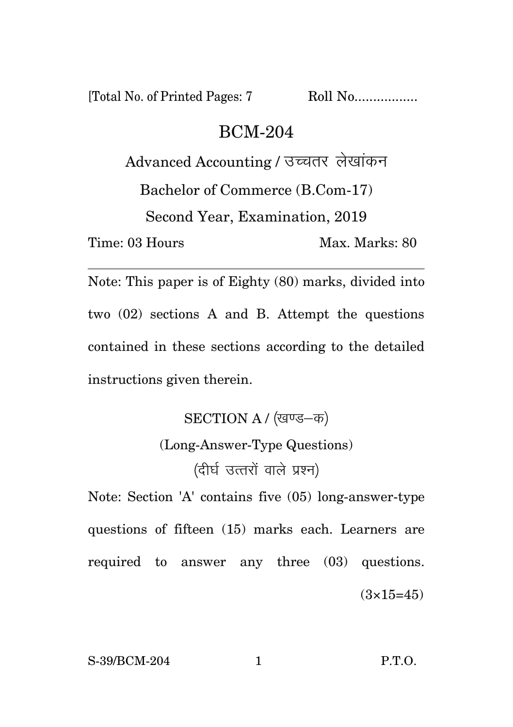[Total No. of Printed Pages: 7 Roll No.................

## BCM-204

Advanced Accounting / उच्चतर लेखांकन Bachelor of Commerce (B.Com-17) Second Year, Examination, 2019 Time: 03 Hours Max. Marks: 80

Note: This paper is of Eighty (80) marks, divided into two (02) sections A and B. Attempt the questions contained in these sections according to the detailed instructions given therein.

> SECTION A / (खण्ड-क) (Long-Answer-Type Questions)

> > (दीर्घ उत्तरों वाले प्रश्न)

Note: Section 'A' contains five (05) long-answer-type questions of fifteen (15) marks each. Learners are required to answer any three (03) questions.  $(3\times15=45)$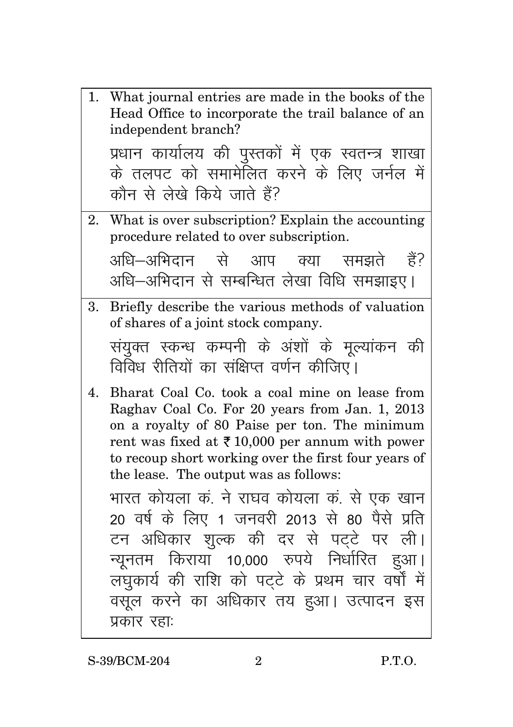|    | 1. What journal entries are made in the books of the<br>Head Office to incorporate the trail balance of an<br>independent branch?                                                                                                                                                                                |
|----|------------------------------------------------------------------------------------------------------------------------------------------------------------------------------------------------------------------------------------------------------------------------------------------------------------------|
|    | प्रधान कार्यालय की पुस्तकों में एक स्वतन्त्र शाखा<br>के तलपट को समामेलित करने के लिए जर्नल में<br>कौन से लेखे किये जाते हैं?                                                                                                                                                                                     |
| 2. | What is over subscription? Explain the accounting<br>procedure related to over subscription.<br>अधि–अभिदान से आप क्या समझते हैं?                                                                                                                                                                                 |
|    | अधि-अभिदान से सम्बन्धित लेखा विधि समझाइए।                                                                                                                                                                                                                                                                        |
| 3. | Briefly describe the various methods of valuation<br>of shares of a joint stock company.                                                                                                                                                                                                                         |
|    | संयुक्त स्कन्ध कम्पनी के अंशों के मूल्यांकन की<br>विविध रीतियों का संक्षिप्त वर्णन कीजिए।                                                                                                                                                                                                                        |
| 4. | Bharat Coal Co. took a coal mine on lease from<br>Raghav Coal Co. For 20 years from Jan. 1, 2013<br>on a royalty of 80 Paise per ton. The minimum<br>rent was fixed at $\bar{\tau}$ 10,000 per annum with power<br>to recoup short working over the first four years of<br>the lease. The output was as follows: |
|    | भारत कोयला कं. ने राघव कोयला कं. से एक खान<br>20 वर्ष के लिए 1 जनवरी 2013 से 80 पैसे प्रति<br>टन अधिकार शुल्क की दर से पट्टे पर ली।<br>न्यूनतम किराया 10,000 रुपये निर्धारित हुआ।<br>लघुकार्य की राशि को पट्टे के प्रथम चार वर्षों में                                                                           |
|    | वसूल करने का अधिकार तय हुआ। उत्पादन इस<br>प्रकार रहाः                                                                                                                                                                                                                                                            |

S-39/BCM-204 2 P.T.O.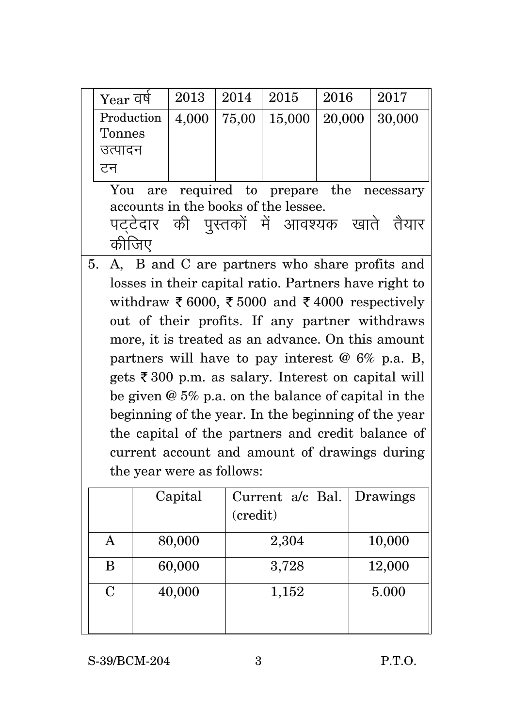| Year वर्ष                                                     |  | 2013    | 2014     | 2015             | 2016   | 2017                                                  |  |
|---------------------------------------------------------------|--|---------|----------|------------------|--------|-------------------------------------------------------|--|
| Production                                                    |  | 4,000   | 75,00    | 15,000           | 20,000 | 30,000                                                |  |
| <b>Tonnes</b>                                                 |  |         |          |                  |        |                                                       |  |
| उत्पादन                                                       |  |         |          |                  |        |                                                       |  |
| टन                                                            |  |         |          |                  |        |                                                       |  |
| required to prepare the<br>You<br>are<br>necessary            |  |         |          |                  |        |                                                       |  |
| accounts in the books of the lessee.                          |  |         |          |                  |        |                                                       |  |
| पट्टेदार की पुस्तकों में आवश्यक खाते तैयार                    |  |         |          |                  |        |                                                       |  |
| कीजिए                                                         |  |         |          |                  |        |                                                       |  |
| 5.                                                            |  |         |          |                  |        | A, B and C are partners who share profits and         |  |
|                                                               |  |         |          |                  |        | losses in their capital ratio. Partners have right to |  |
|                                                               |  |         |          |                  |        | withdraw ₹ 6000, ₹ 5000 and ₹ 4000 respectively       |  |
|                                                               |  |         |          |                  |        | out of their profits. If any partner withdraws        |  |
|                                                               |  |         |          |                  |        | more, it is treated as an advance. On this amount     |  |
| partners will have to pay interest $@6\%$ p.a. B,             |  |         |          |                  |        |                                                       |  |
| gets $\bar{\xi}$ 300 p.m. as salary. Interest on capital will |  |         |          |                  |        |                                                       |  |
| be given $@$ 5% p.a. on the balance of capital in the         |  |         |          |                  |        |                                                       |  |
|                                                               |  |         |          |                  |        | beginning of the year. In the beginning of the year   |  |
|                                                               |  |         |          |                  |        | the capital of the partners and credit balance of     |  |
| current account and amount of drawings during                 |  |         |          |                  |        |                                                       |  |
| the year were as follows:                                     |  |         |          |                  |        |                                                       |  |
|                                                               |  | Capital |          | Current a/c Bal. |        | Drawings                                              |  |
|                                                               |  |         | (credit) |                  |        |                                                       |  |
| $\mathbf{A}$                                                  |  |         |          |                  |        |                                                       |  |
|                                                               |  | 80,000  |          | 2,304            |        | 10,000                                                |  |
| B                                                             |  | 60,000  |          | 3,728            |        | 12,000                                                |  |
| $\overline{C}$                                                |  | 40,000  |          | 1,152            |        | 5.000                                                 |  |
|                                                               |  |         |          |                  |        |                                                       |  |
|                                                               |  |         |          |                  |        |                                                       |  |

S-39/BCM-204 3 P.T.O.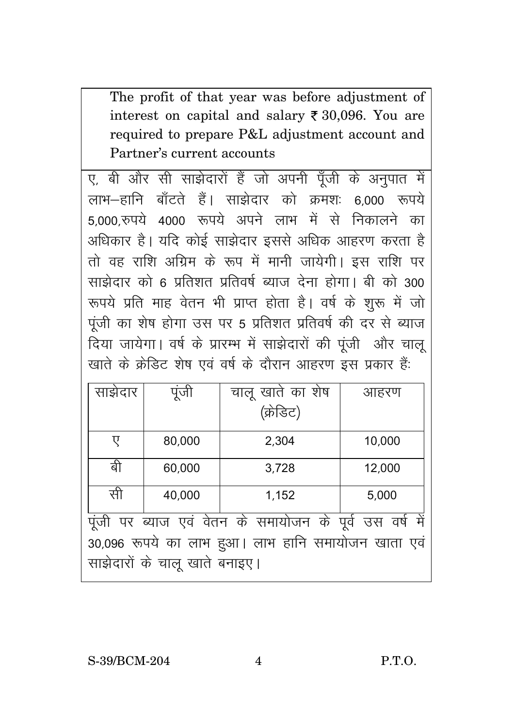The profit of that year was before adjustment of interest on capital and salary  $\bar{\tau}$  30,096. You are required to prepare P&L adjustment account and Partner's current accounts

ए, बी और सी साझेदारों हैं जो अपनी पूँजी के अनुपात में लाभ—हानि बॉटते हैं। साझेदार को कमश: ६००० रूपये 5,000,रुपये 4000 रूपये अपने लाभ में से निकालने का अधिकार है। यदि कोई साझेदार इससे अधिक आहरण करता है तो वह राशि अग्रिम के रूप में मानी जायेगी। इस राशि पर साझेदार को 6 प्रतिशत प्रतिवर्ष ब्याज देना होगा। बी को 300 रूपये प्रति माह वेतन भी प्राप्त होता है। वर्ष के शुरू में जो पूंजी का शेष होगा उस पर 5 प्रतिशत प्रतिवर्ष की दर से ब्याज दिया जायेगा। वर्ष के प्रारम्भ में साझेदारों की पूंजी और चालू खाते के क्रेडिट शेष एवं वर्ष के दौरान आहरण इस प्रकार हैं:

| साझेदार                                                 | पूजी   | चालू खाते का शेष | आहरण   |  |  |  |
|---------------------------------------------------------|--------|------------------|--------|--|--|--|
|                                                         |        | (क्रेडिट)        |        |  |  |  |
| ए                                                       | 80,000 | 2,304            | 10,000 |  |  |  |
| बी                                                      | 60,000 | 3,728            | 12,000 |  |  |  |
| सी                                                      | 40,000 | 1,152            | 5,000  |  |  |  |
| पूंजी पर ब्याज एवं वेतन के समायोजन के पूर्व उस वर्ष में |        |                  |        |  |  |  |
| 30,096 रूपये का लाभ हुआ। लाभ हानि समायोजन खाता एवं      |        |                  |        |  |  |  |
| साझेदारों के चालू खाते बनाइए।                           |        |                  |        |  |  |  |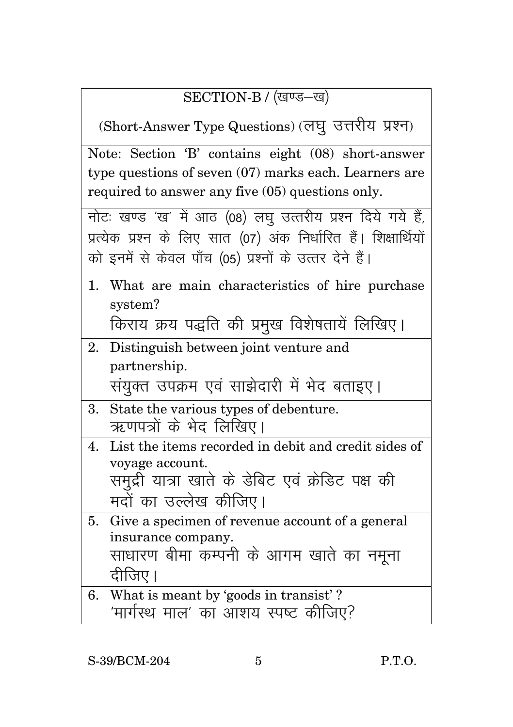## SECTION-B / (खण्ड-ख)

(Short-Answer Type Questions) (लघु उत्तरीय प्रश्न)

|  |                                                  |  | Note: Section 'B' contains eight (08) short-answer      |
|--|--------------------------------------------------|--|---------------------------------------------------------|
|  |                                                  |  | type questions of seven $(07)$ marks each. Learners are |
|  | required to answer any five (05) questions only. |  |                                                         |

| नोट: खण्ड 'ख' में आठ (08) लघु उत्तरीय प्रश्न दिये गये हैं,       |
|------------------------------------------------------------------|
| प्रत्येक प्रश्न के लिए सात (07) अंक निर्धारित हैं। शिक्षार्थियों |
| को इनमें से केवल पाँच (05) प्रश्नों के उत्तर देने हैं।           |

1. What are main characteristics of hire purchase system?

किराय क्रय पद्धति की प्रमुख विशेषतायें लिखिए।

2. Distinguish between joint venture and partnership.

संयुक्त उपक्रम एवं साझेदारी में भेद बताइए।

- 3. State the various types of debenture. ऋणपत्रों के भेद लिखिए।
- 4. List the items recorded in debit and credit sides of voyage account. समद्री यात्रा खाते के डेबिट एवं क्रेडिट पक्ष की मदों का उल्लेख कीजिए।
- 5. Give a specimen of revenue account of a general insurance company. साधारण बीमा कम्पनी के आगम खाते का नमना दीजिए।
- 6. What is meant by 'goods in transist' ? 'मार्गस्थ माल' का आशय स्पष्ट कीजिए?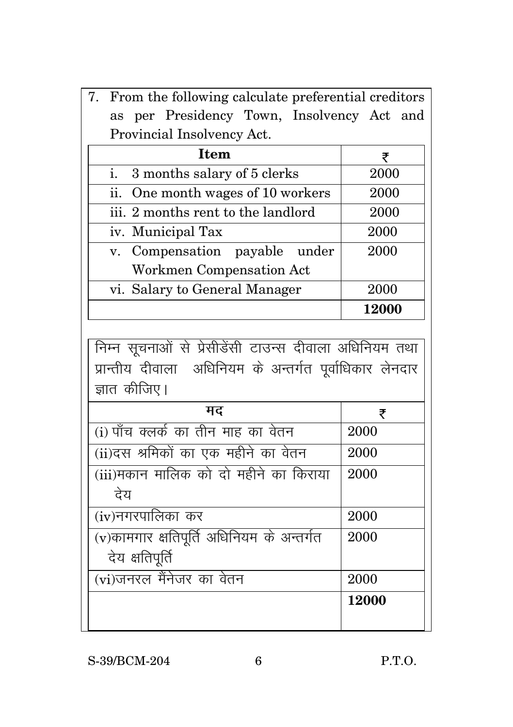|                               | 7. From the following calculate preferential creditors |       |  |  |  |  |
|-------------------------------|--------------------------------------------------------|-------|--|--|--|--|
| as                            | per Presidency Town, Insolvency Act and                |       |  |  |  |  |
| Provincial Insolvency Act.    |                                                        |       |  |  |  |  |
|                               | <b>Item</b>                                            | ₹     |  |  |  |  |
| i.                            | 3 months salary of 5 clerks                            | 2000  |  |  |  |  |
|                               | ii. One month wages of 10 workers                      | 2000  |  |  |  |  |
|                               | iii. 2 months rent to the landlord                     | 2000  |  |  |  |  |
| iv. Municipal Tax             |                                                        | 2000  |  |  |  |  |
|                               | v. Compensation payable under                          | 2000  |  |  |  |  |
|                               | Workmen Compensation Act                               |       |  |  |  |  |
| vi. Salary to General Manager |                                                        | 2000  |  |  |  |  |
|                               |                                                        | 12000 |  |  |  |  |

<u>| निम्न सूचनाओं से प्रेसीडेंसी टाउन्स दीवाला अधिनियम तथा</u> प्रान्तीय दीवाला अधिनियम के अन्तर्गत पूर्वाधिकार लेनदार  $\frac{1}{3}$ ज्ञात कीजिए।

| मद                                           | ₹     |
|----------------------------------------------|-------|
| (i) पाँच क्लर्क का तीन माह का वेतन           | 2000  |
| (ii)दस श्रमिकों का एक महीने का वेतन          | 2000  |
| (iii)मकान मालिक को दो महीने का किराया        | 2000  |
| देय                                          |       |
| (iv)नगरपालिका कर                             | 2000  |
| $(v)$ कामगार क्षतिपूर्ति अधिनियम के अन्तर्गत | 2000  |
| देय क्षतिपूर्ति                              |       |
| (vi)जनरल मैंनेजर का वेतन                     | 2000  |
|                                              | 12000 |
|                                              |       |